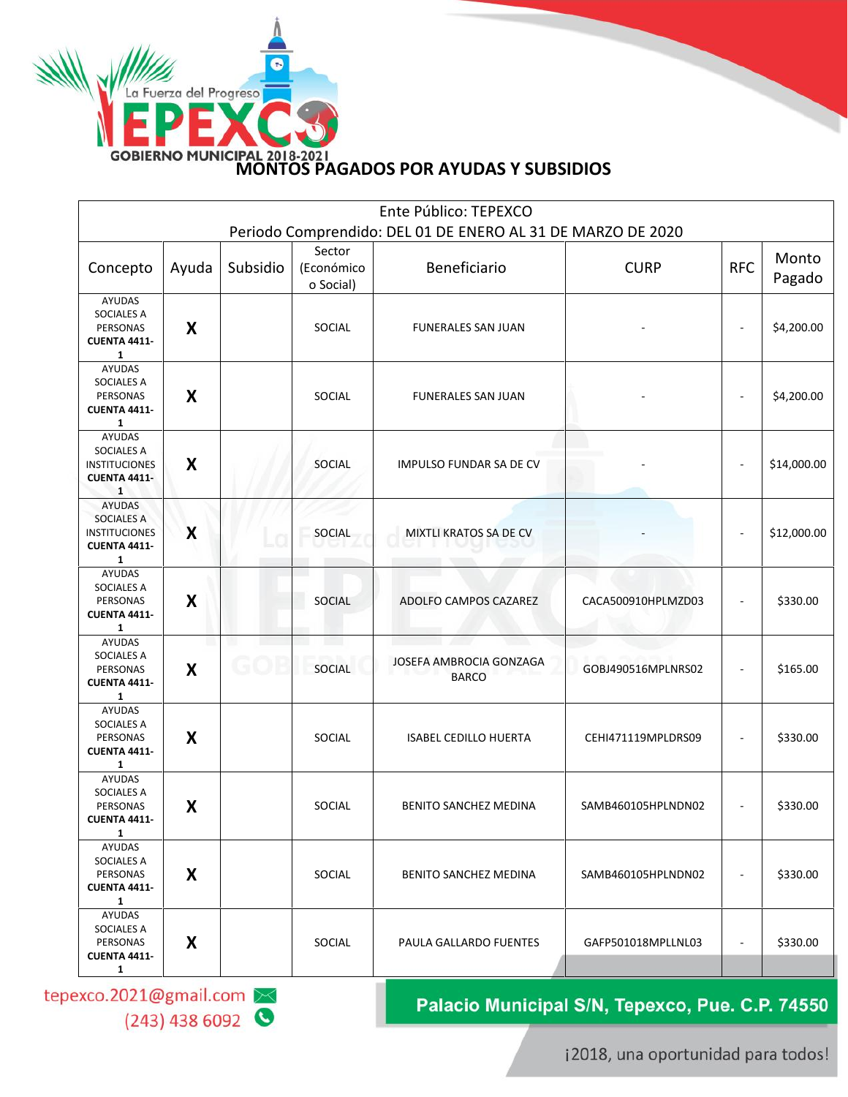

|                                                                                            |       |          |                                   | Ente Público: TEPEXCO<br>Periodo Comprendido: DEL 01 DE ENERO AL 31 DE MARZO DE 2020 |                    |                          |                 |
|--------------------------------------------------------------------------------------------|-------|----------|-----------------------------------|--------------------------------------------------------------------------------------|--------------------|--------------------------|-----------------|
| Concepto                                                                                   | Ayuda | Subsidio | Sector<br>(Económico<br>o Social) | Beneficiario                                                                         | <b>CURP</b>        | <b>RFC</b>               | Monto<br>Pagado |
| AYUDAS<br>SOCIALES A<br>PERSONAS<br><b>CUENTA 4411-</b><br>$\mathbf{1}$                    | X     |          | SOCIAL                            | <b>FUNERALES SAN JUAN</b>                                                            |                    | $\overline{\phantom{a}}$ | \$4,200.00      |
| AYUDAS<br>SOCIALES A<br>PERSONAS<br><b>CUENTA 4411-</b><br>$\mathbf{1}$                    | X     |          | SOCIAL                            | <b>FUNERALES SAN JUAN</b>                                                            |                    | $\blacksquare$           | \$4,200.00      |
| <b>AYUDAS</b><br>SOCIALES A<br><b>INSTITUCIONES</b><br><b>CUENTA 4411-</b><br>$\mathbf{1}$ | X     |          | <b>SOCIAL</b>                     | IMPULSO FUNDAR SA DE CV                                                              |                    | $\blacksquare$           | \$14,000.00     |
| <b>AYUDAS</b><br><b>SOCIALES A</b><br><b>INSTITUCIONES</b><br><b>CUENTA 4411-</b><br>1     | X     |          | SOCIAL                            | MIXTLI KRATOS SA DE CV                                                               |                    | $\blacksquare$           | \$12,000.00     |
| <b>AYUDAS</b><br>SOCIALES A<br>PERSONAS<br><b>CUENTA 4411-</b><br>$\mathbf{1}$             | X     |          | <b>SOCIAL</b>                     | ADOLFO CAMPOS CAZAREZ                                                                | CACA500910HPLMZD03 |                          | \$330.00        |
| <b>AYUDAS</b><br>SOCIALES A<br>PERSONAS<br><b>CUENTA 4411-</b><br>$\mathbf{1}$             | X     |          | <b>SOCIAL</b>                     | JOSEFA AMBROCIA GONZAGA<br><b>BARCO</b>                                              | GOBJ490516MPLNRS02 | $\sim$                   | \$165.00        |
| <b>AYUDAS</b><br>SOCIALES A<br>PERSONAS<br><b>CUENTA 4411-</b><br>$\mathbf{1}$             | X     |          | SOCIAL                            | <b>ISABEL CEDILLO HUERTA</b>                                                         | CEHI471119MPLDRS09 |                          | \$330.00        |
| AYUDAS<br><b>SOCIALES A</b><br>PERSONAS<br><b>CUENTA 4411-</b><br>1                        | X     |          | SOCIAL                            | BENITO SANCHEZ MEDINA                                                                | SAMB460105HPLNDN02 | $\overline{\phantom{a}}$ | \$330.00        |
| <b>AYUDAS</b><br>SOCIALES A<br>PERSONAS<br><b>CUENTA 4411-</b><br>$\mathbf{1}$             | X     |          | SOCIAL                            | BENITO SANCHEZ MEDINA                                                                | SAMB460105HPLNDN02 |                          | \$330.00        |
| <b>AYUDAS</b><br>SOCIALES A<br>PERSONAS<br><b>CUENTA 4411-</b><br>$\mathbf{1}$             | X     |          | SOCIAL                            | PAULA GALLARDO FUENTES                                                               | GAFP501018MPLLNL03 | $\blacksquare$           | \$330.00        |

Palacio Municipal S/N, Tepexco, Pue. C.P. 74550

 $(243)$  438 6092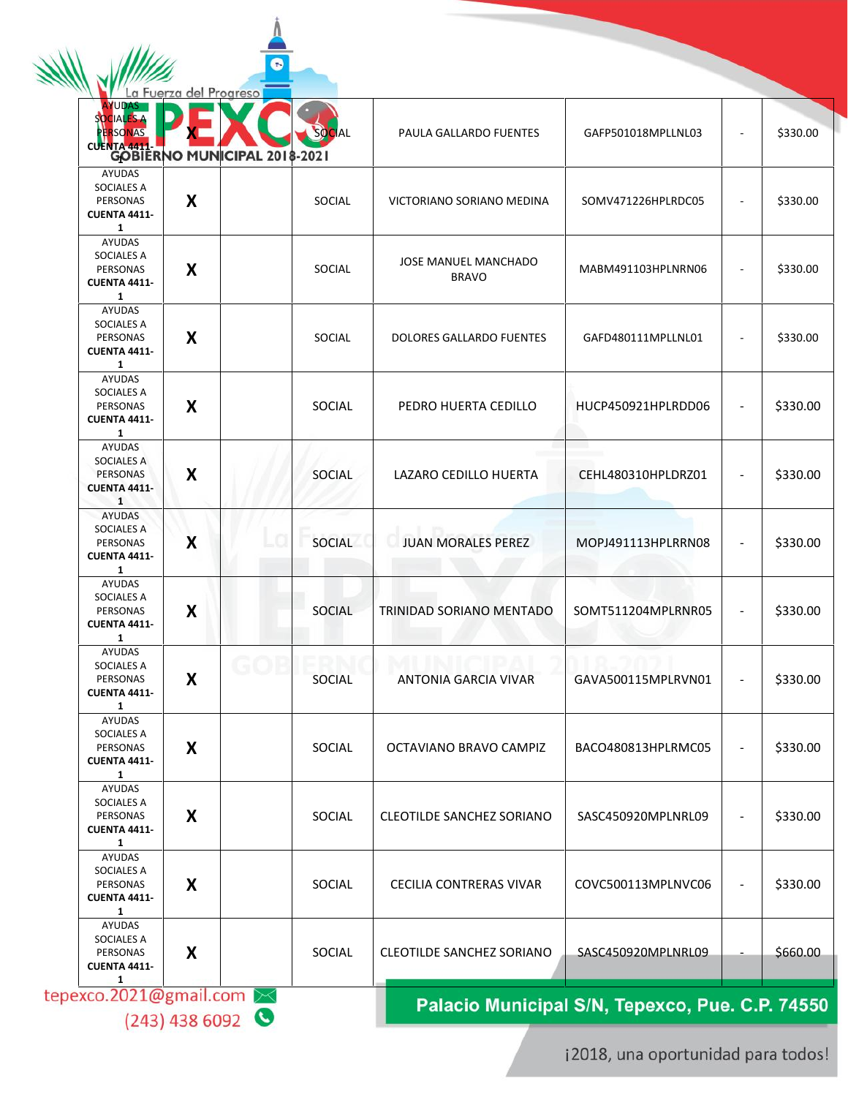**AYUDAS** SOCIAL **ERSONAS X** SOCIAL PAULA GALLARDO FUENTES GAFP501018MPLLNL03 - \$330.00 **CUENTA 4411- 1** AYUDAS SOCIALES A PERSONAS  $\textsf{X}$   $\vert$  social victoriano soriano medina  $\vert$  somv471226HPLRDC05  $\vert$  -  $\vert$  \$330.00 **CUENTA 4411- 1** AYUDAS SOCIALES A **X** SOCIAL JOSE MANUEL MANCHADO PERSONAS MABM491103HPLNRN06 - \$330.00 **CUENTA 4411- 1** AYUDAS SOCIALES A<br>PERSONAS X PERSONAS **SOCIAL DOLORES GALLARDO FUENTES GAFD480111MPLLNL01 - \$330.00 CUENTA 4411- 1** AYUDAS SOCIALES A PERSONAS  $\textsf{X}$  | SOCIAL PEDRO HUERTA CEDILLO | HUCP450921HPLRDD06 | - | \$330.00 **CUENTA 4411- 1** AYUDAS SOCIALES A PERSONAS  $\textsf{X}$   $\mid$   $\mid$  social  $\mid$  LAZARO CEDILLO HUERTA  $\mid$  CEHL480310HPLDRZ01  $\mid$  -  $\mid$  \$330.00 **CUENTA 4411- 1** AYUDAS SOCIALES A PERSONAS  $\textsf{X}$   $\vert$  SOCIAL JUAN MORALES PEREZ MOPJ491113HPLRRN08 - \$330.00 **CUENTA 4411- 1** AYUDAS SOCIALES A<br>PERSONAS X PERSONAS **SOCIAL TRINIDAD SORIANO MENTADO | SOMT511204MPLRNR05 | - | \$330.00 CUENTA 4411- 1** AYUDAS SOCIALES A  $\textsf{X}$  SOCIAL ANTONIA GARCIA VIVAR GAVA500115MPLRVN01 - \$330.00 PERSONAS **CUENTA 4411- 1** AYUDAS SOCIALES A PERSONAS  $\textsf{X}$  SOCIAL CCTAVIANO BRAVO CAMPIZ BACO480813HPLRMC05  $\vert$  - \$330.00 **CUENTA 4411- 1** AYUDAS SOCIALES A PERSONAS  $\textsf{X}$   $\vert$  social cleotilde sanchez soriano  $\vert$  sasc450920MPLNRL09  $\vert$  -  $\vert$  \$330.00 **CUENTA 4411- 1** AYUDAS SOCIALES A PERSONAS  $\textsf{X}$   $\mid$  social cecilia contreras vivar  $\mid$  covc500113MPLNVC06  $\mid$  -  $\mid$  \$330.00 **CUENTA 4411- 1** AYUDAS SOCIALES A<br>PERSONAS X PERSONAS **SOCIAL CLEOTILDE SANCHEZ SORIANO SASC450920MPLNRL09 - \$660.00 CUENTA 4411** tepexco.2021@gmail.com Palacio Municipal S/N, Tepexco, Pue. C.P. 74550

e

a Fuerza del Progreso

 $(243)$  438 6092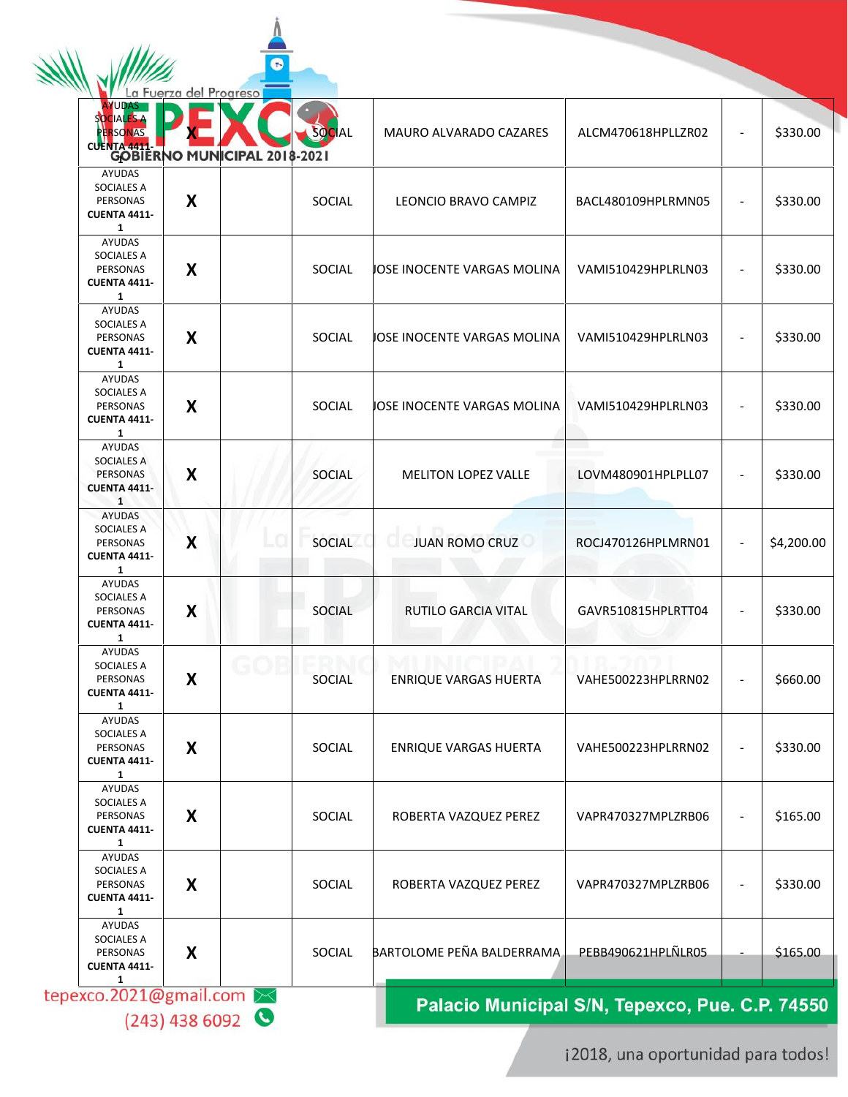|                                                                                                | a Fuerza del Progreso |               |                              |                    |            |
|------------------------------------------------------------------------------------------------|-----------------------|---------------|------------------------------|--------------------|------------|
| <b>UDAS</b><br><b>IALES A</b><br><b>ERSONAS</b><br>CUENTA 4411 RIVO MUNICIPAL 2018-2021        |                       | SOCIAL        | MAURO ALVARADO CAZARES       | ALCM470618HPLLZR02 | \$330.00   |
| AYUDAS<br><b>SOCIALES A</b><br>PERSONAS<br><b>CUENTA 4411-</b>                                 | X                     | SOCIAL        | LEONCIO BRAVO CAMPIZ         | BACL480109HPLRMN05 | \$330.00   |
| $\mathbf{1}$<br>AYUDAS<br><b>SOCIALES A</b><br>PERSONAS<br><b>CUENTA 4411-</b><br>$\mathbf{1}$ | X                     | SOCIAL        | JOSE INOCENTE VARGAS MOLINA  | VAMI510429HPLRLN03 | \$330.00   |
| AYUDAS<br>SOCIALES A<br>PERSONAS<br><b>CUENTA 4411-</b><br>1                                   | X                     | SOCIAL        | JOSE INOCENTE VARGAS MOLINA  | VAMI510429HPLRLN03 | \$330.00   |
| AYUDAS<br><b>SOCIALES A</b><br>PERSONAS<br><b>CUENTA 4411</b><br>$\mathbf{1}$                  | X                     | SOCIAL        | JOSE INOCENTE VARGAS MOLINA  | VAMI510429HPLRLN03 | \$330.00   |
| <b>AYUDAS</b><br><b>SOCIALES A</b><br><b>PERSONAS</b><br><b>CUENTA 4411</b><br>$\mathbf{1}$    | X                     | SOCIAL        | <b>MELITON LOPEZ VALLE</b>   | LOVM480901HPLPLL07 | \$330.00   |
| AYUDAS<br><b>SOCIALES A</b><br>PERSONAS<br><b>CUENTA 4411-</b><br>$\mathbf{1}$                 | X                     | SOCIAL        | <b>JUAN ROMO CRUZ</b>        | ROCJ470126HPLMRN01 | \$4,200.00 |
| AYUDAS<br>SOCIALES A<br>PERSONAS<br><b>CUENTA 4411</b><br>$\mathbf{1}$                         | X                     | <b>SOCIAL</b> | RUTILO GARCIA VITAL          | GAVR510815HPLRTT04 | \$330.00   |
| AYUDAS<br>SOCIALES A<br><b>PERSONAS</b><br><b>CUENTA 4411-</b><br>1                            | X                     | SOCIAL        | <b>ENRIQUE VARGAS HUERTA</b> | VAHE500223HPLRRN02 | \$660.00   |
| AYUDAS<br><b>SOCIALES A</b><br>PERSONAS<br><b>CUENTA 4411-</b><br>$\mathbf{1}$                 | X                     | SOCIAL        | <b>ENRIQUE VARGAS HUERTA</b> | VAHE500223HPLRRN02 | \$330.00   |
| AYUDAS<br><b>SOCIALES A</b><br>PERSONAS<br><b>CUENTA 4411</b><br>$\mathbf{1}$                  | X                     | SOCIAL        | ROBERTA VAZQUEZ PEREZ        | VAPR470327MPLZRB06 | \$165.00   |
| AYUDAS<br><b>SOCIALES A</b><br>PERSONAS<br><b>CUENTA 4411-</b><br>$\mathbf{1}$                 | X                     | SOCIAL        | ROBERTA VAZQUEZ PEREZ        | VAPR470327MPLZRB06 | \$330.00   |
| AYUDAS<br>SOCIALES A<br>PERSONAS<br><b>CUENTA 4411-</b><br>1                                   | X                     | SOCIAL        | BARTOLOME PEÑA BALDERRAMA    | PEBB490621HPLÑLR05 | \$165.00   |